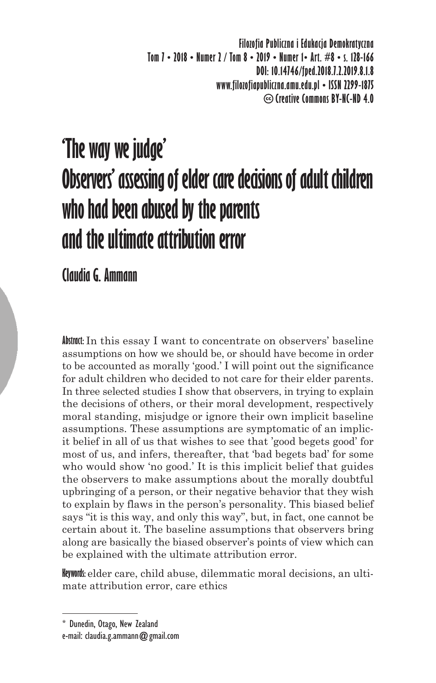**Filozofia Publiczna i Edukacja Demokratyczna Tom 7 • 2018 • Numer 2 / Tom 8 • 2019 • Numer 1• Art. #8 • s. 128-166 DOI: 10.14746/fped.2018.7.2.2019.8.1.8 www.filozofiapubliczna.amu.edu.pl • ISSN 2299-1875 Creative Commons BY-NC-ND 4.0**

# **'The way we judge' Observers' assessing of elder care decisions of adult children who had been abused by the parents and the ultimate attribution error**

**Claudia G. Ammann**

**Abstract:** In this essay I want to concentrate on observers' baseline assumptions on how we should be, or should have become in order to be accounted as morally 'good.' I will point out the significance for adult children who decided to not care for their elder parents. In three selected studies I show that observers, in trying to explain the decisions of others, or their moral development, respectively moral standing, misjudge or ignore their own implicit baseline assumptions. These assumptions are symptomatic of an implicit belief in all of us that wishes to see that 'good begets good' for most of us, and infers, thereafter, that 'bad begets bad' for some who would show 'no good.' It is this implicit belief that guides the observers to make assumptions about the morally doubtful upbringing of a person, or their negative behavior that they wish to explain by flaws in the person's personality. This biased belief says "it is this way, and only this way", but, in fact, one cannot be certain about it. The baseline assumptions that observers bring along are basically the biased observer's points of view which can be explained with the ultimate attribution error.

**Keywords:** elder care, child abuse, dilemmatic moral decisions, an ultimate attribution error, care ethics

<sup>\*</sup> Dunedin, Otago, New Zealand e-mail: claudia.g.ammann@gmail.com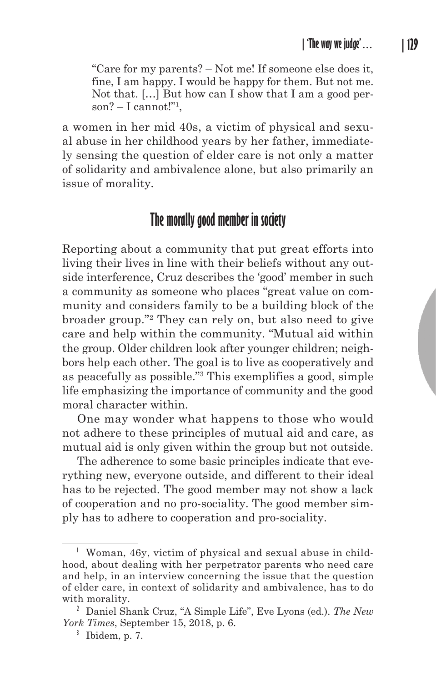"Care for my parents? – Not me! If someone else does it, fine, I am happy. I would be happy for them. But not me. Not that. […] But how can I show that I am a good person? – I cannot!"1 ,

a women in her mid 40s, a victim of physical and sexual abuse in her childhood years by her father, immediately sensing the question of elder care is not only a matter of solidarity and ambivalence alone, but also primarily an issue of morality.

# **The morally good member in society**

Reporting about a community that put great efforts into living their lives in line with their beliefs without any outside interference, Cruz describes the 'good' member in such a community as someone who places "great value on community and considers family to be a building block of the broader group."2 They can rely on, but also need to give care and help within the community. "Mutual aid within the group. Older children look after younger children; neighbors help each other. The goal is to live as cooperatively and as peacefully as possible."<sup>3</sup> This exemplifies a good, simple life emphasizing the importance of community and the good moral character within.

One may wonder what happens to those who would not adhere to these principles of mutual aid and care, as mutual aid is only given within the group but not outside.

The adherence to some basic principles indicate that everything new, everyone outside, and different to their ideal has to be rejected. The good member may not show a lack of cooperation and no pro-sociality. The good member simply has to adhere to cooperation and pro-sociality.

**<sup>1</sup>** Woman, 46y, victim of physical and sexual abuse in childhood, about dealing with her perpetrator parents who need care and help, in an interview concerning the issue that the question of elder care, in context of solidarity and ambivalence, has to do with morality.

**<sup>2</sup>** Daniel Shank Cruz, "A Simple Life", Eve Lyons (ed.). *The New York Times*, September 15, 2018, p. 6.

**<sup>3</sup>** Ibidem, p. 7.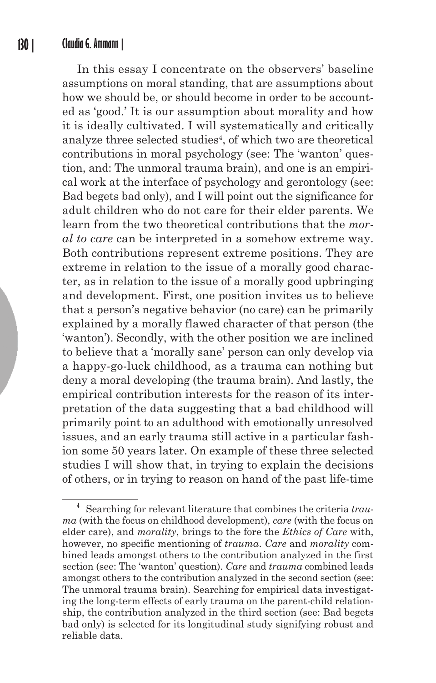In this essay I concentrate on the observers' baseline assumptions on moral standing, that are assumptions about how we should be, or should become in order to be accounted as 'good.' It is our assumption about morality and how it is ideally cultivated. I will systematically and critically analyze three selected studies<sup>4</sup>, of which two are theoretical contributions in moral psychology (see: The 'wanton' question, and: The unmoral trauma brain), and one is an empirical work at the interface of psychology and gerontology (see: Bad begets bad only), and I will point out the significance for adult children who do not care for their elder parents. We learn from the two theoretical contributions that the *moral to care* can be interpreted in a somehow extreme way. Both contributions represent extreme positions. They are extreme in relation to the issue of a morally good character, as in relation to the issue of a morally good upbringing and development. First, one position invites us to believe that a person's negative behavior (no care) can be primarily explained by a morally flawed character of that person (the 'wanton'). Secondly, with the other position we are inclined to believe that a 'morally sane' person can only develop via a happy-go-luck childhood, as a trauma can nothing but deny a moral developing (the trauma brain). And lastly, the empirical contribution interests for the reason of its interpretation of the data suggesting that a bad childhood will primarily point to an adulthood with emotionally unresolved issues, and an early trauma still active in a particular fashion some 50 years later. On example of these three selected studies I will show that, in trying to explain the decisions of others, or in trying to reason on hand of the past life-time

**<sup>4</sup>** Searching for relevant literature that combines the criteria *trauma* (with the focus on childhood development), *care* (with the focus on elder care), and *morality*, brings to the fore the *Ethics of Care* with, however, no specific mentioning of *trauma*. *Care* and *morality* combined leads amongst others to the contribution analyzed in the first section (see: The 'wanton' question). *Care* and *trauma* combined leads amongst others to the contribution analyzed in the second section (see: The unmoral trauma brain). Searching for empirical data investigating the long-term effects of early trauma on the parent-child relationship, the contribution analyzed in the third section (see: Bad begets bad only) is selected for its longitudinal study signifying robust and reliable data.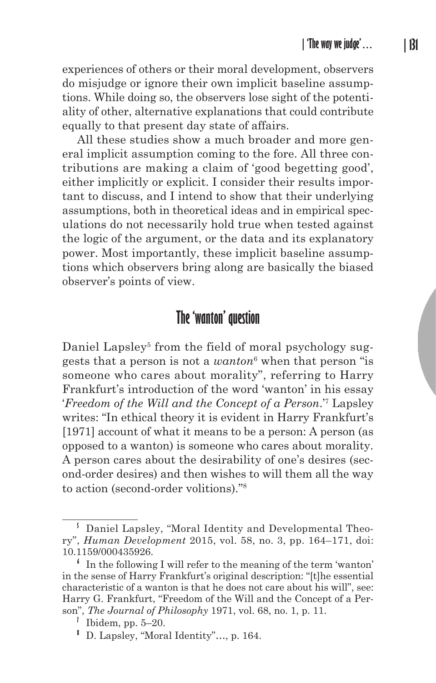experiences of others or their moral development, observers do misjudge or ignore their own implicit baseline assumptions. While doing so, the observers lose sight of the potentiality of other, alternative explanations that could contribute equally to that present day state of affairs.

All these studies show a much broader and more general implicit assumption coming to the fore. All three contributions are making a claim of 'good begetting good', either implicitly or explicit. I consider their results important to discuss, and I intend to show that their underlying assumptions, both in theoretical ideas and in empirical speculations do not necessarily hold true when tested against the logic of the argument, or the data and its explanatory power. Most importantly, these implicit baseline assumptions which observers bring along are basically the biased observer's points of view.

# **The 'wanton' question**

Daniel Lapsley<sup>5</sup> from the field of moral psychology suggests that a person is not a *wanton*<sup>6</sup> when that person "is someone who cares about morality", referring to Harry Frankfurt's introduction of the word 'wanton' in his essay '*Freedom of the Will and the Concept of a Person*.'<sup>7</sup> Lapsley writes: "In ethical theory it is evident in Harry Frankfurt's [1971] account of what it means to be a person: A person (as opposed to a wanton) is someone who cares about morality. A person cares about the desirability of one's desires (second-order desires) and then wishes to will them all the way to action (second-order volitions)."<sup>8</sup>

**<sup>5</sup>** Daniel Lapsley, "Moral Identity and Developmental Theory", *Human Development* 2015, vol. 58, no. 3, pp. 164–171, doi: 10.1159/000435926.

**<sup>6</sup>** In the following I will refer to the meaning of the term 'wanton' in the sense of Harry Frankfurt's original description: "[t]he essential characteristic of a wanton is that he does not care about his will", see: Harry G. Frankfurt, "Freedom of the Will and the Concept of a Person", *The Journal of Philosophy* 1971, vol. 68, no. 1, p. 11.

<sup>&</sup>lt;sup>1</sup> Ibidem, pp.  $5-20$ .

**<sup>8</sup>** D. Lapsley, "Moral Identity"…, p. 164.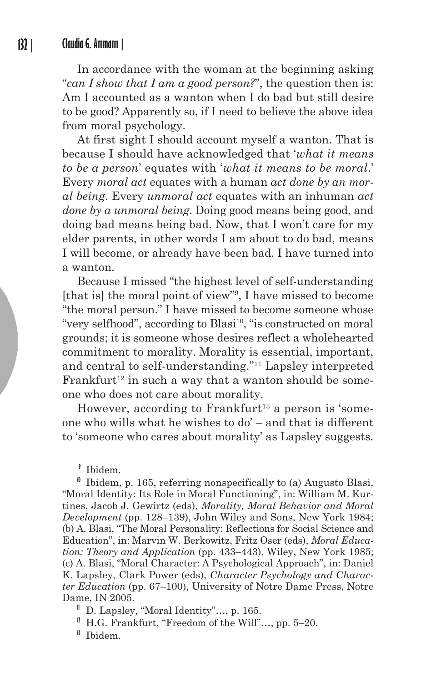In accordance with the woman at the beginning asking "*can I show that I am a good person?*", the question then is: Am I accounted as a wanton when I do bad but still desire to be good? Apparently so, if I need to believe the above idea from moral psychology.

At first sight I should account myself a wanton. That is because I should have acknowledged that '*what it means to be a person*' equates with '*what it means to be moral*.' Every *moral act* equates with a human *act done by an moral being*. Every *unmoral act* equates with an inhuman *act done by a unmoral being*. Doing good means being good, and doing bad means being bad. Now, that I won't care for my elder parents, in other words I am about to do bad, means I will become, or already have been bad. I have turned into a wanton.

Because I missed "the highest level of self-understanding [that is] the moral point of view"9 , I have missed to become "the moral person." I have missed to become someone whose "very selfhood", according to Blasi<sup>10</sup>, "is constructed on moral grounds; it is someone whose desires reflect a wholehearted commitment to morality. Morality is essential, important, and central to self-understanding."11 Lapsley interpreted Frankfurt<sup>12</sup> in such a way that a wanton should be someone who does not care about morality.

However, according to Frankfurt<sup>13</sup> a person is 'someone who wills what he wishes to do' – and that is different to 'someone who cares about morality' as Lapsley suggests.

**<sup>9</sup>** Ibidem.

**<sup>10</sup>** Ibidem, p. 165, referring nonspecifically to (a) Augusto Blasi, "Moral Identity: Its Role in Moral Functioning", in: William M. Kurtines, Jacob J. Gewirtz (eds), *Morality, Moral Behavior and Moral Development* (pp. 128–139), John Wiley and Sons, New York 1984; (b) A. Blasi, "The Moral Personality: Reflections for Social Science and Education", in: Marvin W. Berkowitz, Fritz Oser (eds), *Moral Education: Theory and Application* (pp. 433–443), Wiley, New York 1985; (c) A. Blasi, "Moral Character: A Psychological Approach", in: Daniel K. Lapsley, Clark Power (eds), *Character Psychology and Character Education* (pp. 67–100), University of Notre Dame Press, Notre Dame, IN 2005.

**<sup>11</sup>** D. Lapsley, "Moral Identity"…, p. 165.

<sup>&</sup>lt;sup>1</sup> H.G. Frankfurt, "Freedom of the Will"..., pp.  $5-20$ .

**<sup>13</sup>** Ibidem.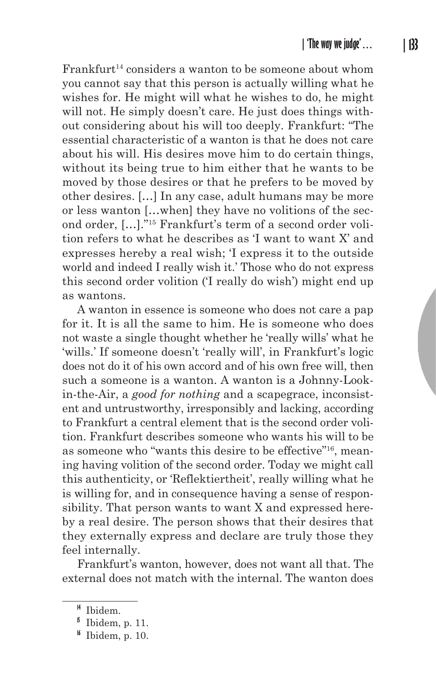$Frankfurt<sup>14</sup> considers a want to be someone about whom$ you cannot say that this person is actually willing what he wishes for. He might will what he wishes to do, he might will not. He simply doesn't care. He just does things without considering about his will too deeply. Frankfurt: "The essential characteristic of a wanton is that he does not care about his will. His desires move him to do certain things, without its being true to him either that he wants to be moved by those desires or that he prefers to be moved by other desires. […] In any case, adult humans may be more or less wanton […when] they have no volitions of the second order, […]."15 Frankfurt's term of a second order volition refers to what he describes as 'I want to want X' and expresses hereby a real wish; 'I express it to the outside world and indeed I really wish it.' Those who do not express this second order volition ('I really do wish') might end up as wantons.

A wanton in essence is someone who does not care a pap for it. It is all the same to him. He is someone who does not waste a single thought whether he 'really wills' what he 'wills.' If someone doesn't 'really will', in Frankfurt's logic does not do it of his own accord and of his own free will, then such a someone is a wanton. A wanton is a Johnny-Lookin-the-Air, a *good for nothing* and a scapegrace, inconsistent and untrustworthy, irresponsibly and lacking, according to Frankfurt a central element that is the second order volition. Frankfurt describes someone who wants his will to be as someone who "wants this desire to be effective"16, meaning having volition of the second order. Today we might call this authenticity, or 'Reflektiertheit', really willing what he is willing for, and in consequence having a sense of responsibility. That person wants to want X and expressed hereby a real desire. The person shows that their desires that they externally express and declare are truly those they feel internally.

Frankfurt's wanton, however, does not want all that. The external does not match with the internal. The wanton does

**<sup>14</sup>** Ibidem.

 $\frac{1}{2}$  Ibidem, p. 11.

**<sup>16</sup>** Ibidem, p. 10.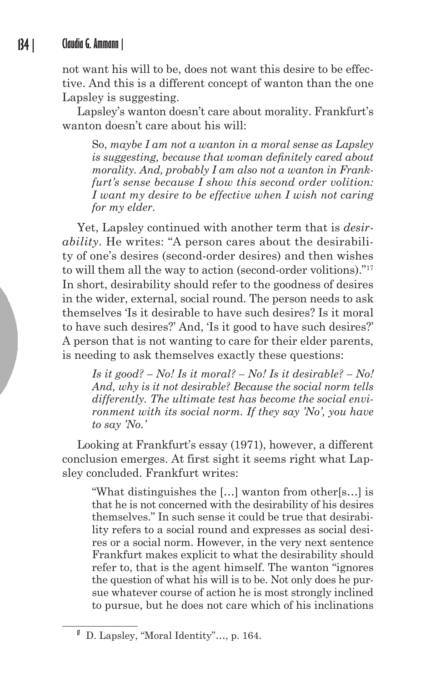not want his will to be, does not want this desire to be effective. And this is a different concept of wanton than the one Lapsley is suggesting.

Lapsley's wanton doesn't care about morality. Frankfurt's wanton doesn't care about his will:

So, *maybe I am not a wanton in a moral sense as Lapsley is suggesting, because that woman definitely cared about morality. And, probably I am also not a wanton in Frankfurt's sense because I show this second order volition: I want my desire to be effective when I wish not caring for my elder*.

Yet, Lapsley continued with another term that is *desirability*. He writes: "A person cares about the desirability of one's desires (second-order desires) and then wishes to will them all the way to action (second-order volitions)."17 In short, desirability should refer to the goodness of desires in the wider, external, social round. The person needs to ask themselves 'Is it desirable to have such desires? Is it moral to have such desires?' And, 'Is it good to have such desires?' A person that is not wanting to care for their elder parents, is needing to ask themselves exactly these questions:

*Is it good? – No! Is it moral? – No! Is it desirable? – No! And, why is it not desirable? Because the social norm tells differently. The ultimate test has become the social environment with its social norm. If they say 'No', you have to say 'No.'*

Looking at Frankfurt's essay (1971), however, a different conclusion emerges. At first sight it seems right what Lapsley concluded. Frankfurt writes:

"What distinguishes the […] wanton from other[s…] is that he is not concerned with the desirability of his desires themselves." In such sense it could be true that desirability refers to a social round and expresses as social desires or a social norm. However, in the very next sentence Frankfurt makes explicit to what the desirability should refer to, that is the agent himself. The wanton "ignores the question of what his will is to be. Not only does he pursue whatever course of action he is most strongly inclined to pursue, but he does not care which of his inclinations

**<sup>17</sup>** D. Lapsley, "Moral Identity"…, p. 164.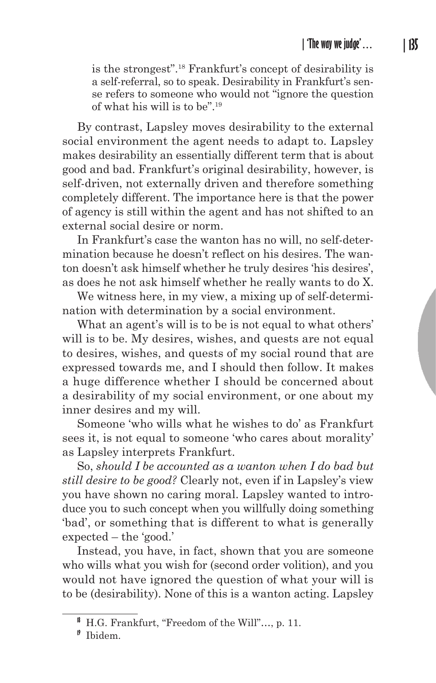is the strongest".18 Frankfurt's concept of desirability is a self-referral, so to speak. Desirability in Frankfurt's sense refers to someone who would not "ignore the question of what his will is to be".19

By contrast, Lapsley moves desirability to the external social environment the agent needs to adapt to. Lapsley makes desirability an essentially different term that is about good and bad. Frankfurt's original desirability, however, is self-driven, not externally driven and therefore something completely different. The importance here is that the power of agency is still within the agent and has not shifted to an external social desire or norm.

In Frankfurt's case the wanton has no will, no self-determination because he doesn't reflect on his desires. The wanton doesn't ask himself whether he truly desires 'his desires', as does he not ask himself whether he really wants to do X.

We witness here, in my view, a mixing up of self-determination with determination by a social environment.

What an agent's will is to be is not equal to what others' will is to be. My desires, wishes, and quests are not equal to desires, wishes, and quests of my social round that are expressed towards me, and I should then follow. It makes a huge difference whether I should be concerned about a desirability of my social environment, or one about my inner desires and my will.

Someone 'who wills what he wishes to do' as Frankfurt sees it, is not equal to someone 'who cares about morality' as Lapsley interprets Frankfurt.

So, *should I be accounted as a wanton when I do bad but still desire to be good?* Clearly not, even if in Lapsley's view you have shown no caring moral. Lapsley wanted to introduce you to such concept when you willfully doing something 'bad', or something that is different to what is generally expected – the 'good.'

Instead, you have, in fact, shown that you are someone who wills what you wish for (second order volition), and you would not have ignored the question of what your will is to be (desirability). None of this is a wanton acting. Lapsley

**<sup>18</sup>** H.G. Frankfurt, "Freedom of the Will"…, p. 11.

**<sup>19</sup>** Ibidem.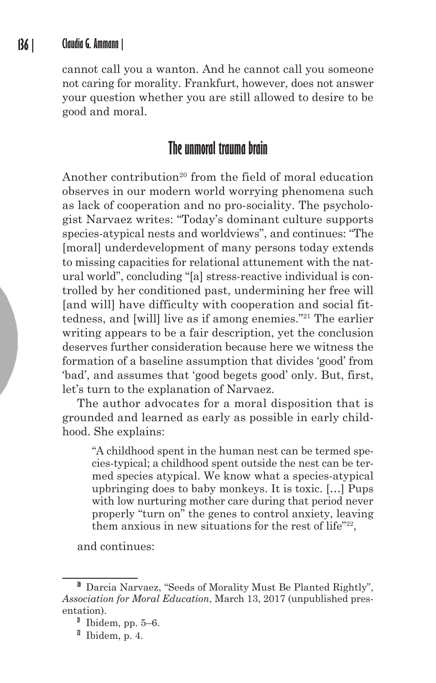cannot call you a wanton. And he cannot call you someone not caring for morality. Frankfurt, however, does not answer your question whether you are still allowed to desire to be good and moral.

# **The unmoral trauma brain**

Another contribution<sup>20</sup> from the field of moral education observes in our modern world worrying phenomena such as lack of cooperation and no pro-sociality. The psychologist Narvaez writes: "Today's dominant culture supports species-atypical nests and worldviews", and continues: "The [moral] underdevelopment of many persons today extends to missing capacities for relational attunement with the natural world", concluding "[a] stress-reactive individual is controlled by her conditioned past, undermining her free will [and will] have difficulty with cooperation and social fittedness, and [will] live as if among enemies."21 The earlier writing appears to be a fair description, yet the conclusion deserves further consideration because here we witness the formation of a baseline assumption that divides 'good' from 'bad', and assumes that 'good begets good' only. But, first, let's turn to the explanation of Narvaez.

The author advocates for a moral disposition that is grounded and learned as early as possible in early childhood. She explains:

"A childhood spent in the human nest can be termed species-typical; a childhood spent outside the nest can be termed species atypical. We know what a species-atypical upbringing does to baby monkeys. It is toxic. […] Pups with low nurturing mother care during that period never properly "turn on" the genes to control anxiety, leaving them anxious in new situations for the rest of life"22,

and continues:

**<sup>20</sup>** Darcia Narvaez, "Seeds of Morality Must Be Planted Rightly", *Association for Moral Education*, March 13, 2017 (unpublished presentation).

**<sup>21</sup>** Ibidem, pp. 5–6.

 $\textsuperscript{2}$  Ibidem, p. 4.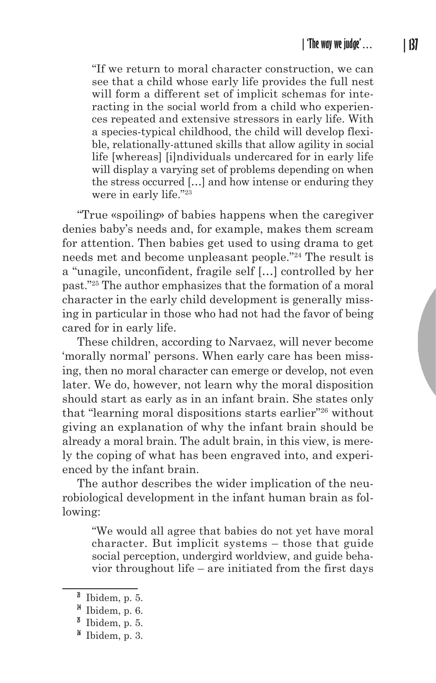"If we return to moral character construction, we can see that a child whose early life provides the full nest will form a different set of implicit schemas for interacting in the social world from a child who experiences repeated and extensive stressors in early life. With a species-typical childhood, the child will develop flexible, relationally-attuned skills that allow agility in social life [whereas] [i]ndividuals undercared for in early life will display a varying set of problems depending on when the stress occurred […] and how intense or enduring they were in early life."23

"True «spoiling» of babies happens when the caregiver denies baby's needs and, for example, makes them scream for attention. Then babies get used to using drama to get needs met and become unpleasant people."24 The result is a "unagile, unconfident, fragile self […] controlled by her past."25 The author emphasizes that the formation of a moral character in the early child development is generally missing in particular in those who had not had the favor of being cared for in early life.

These children, according to Narvaez, will never become 'morally normal' persons. When early care has been missing, then no moral character can emerge or develop, not even later. We do, however, not learn why the moral disposition should start as early as in an infant brain. She states only that "learning moral dispositions starts earlier"26 without giving an explanation of why the infant brain should be already a moral brain. The adult brain, in this view, is merely the coping of what has been engraved into, and experienced by the infant brain.

The author describes the wider implication of the neurobiological development in the infant human brain as following:

"We would all agree that babies do not yet have moral character. But implicit systems – those that guide social perception, undergird worldview, and guide behavior throughout life – are initiated from the first days

**<sup>23</sup>** Ibidem, p. 5.

**<sup>24</sup>** Ibidem, p. 6.

 $\mu$ <sup>b</sup> Ibidem, p. 5.

**<sup>26</sup>** Ibidem, p. 3.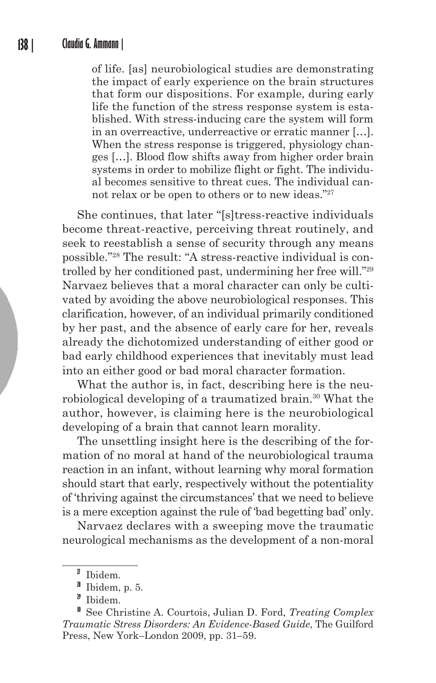of life. [as] neurobiological studies are demonstrating the impact of early experience on the brain structures that form our dispositions. For example, during early life the function of the stress response system is established. With stress-inducing care the system will form in an overreactive, underreactive or erratic manner […]. When the stress response is triggered, physiology changes […]. Blood flow shifts away from higher order brain systems in order to mobilize flight or fight. The individual becomes sensitive to threat cues. The individual cannot relax or be open to others or to new ideas."27

She continues, that later "[s]tress-reactive individuals become threat-reactive, perceiving threat routinely, and seek to reestablish a sense of security through any means possible."28 The result: "A stress-reactive individual is controlled by her conditioned past, undermining her free will."29 Narvaez believes that a moral character can only be cultivated by avoiding the above neurobiological responses. This clarification, however, of an individual primarily conditioned by her past, and the absence of early care for her, reveals already the dichotomized understanding of either good or bad early childhood experiences that inevitably must lead into an either good or bad moral character formation.

What the author is, in fact, describing here is the neurobiological developing of a traumatized brain.<sup>30</sup> What the author, however, is claiming here is the neurobiological developing of a brain that cannot learn morality.

The unsettling insight here is the describing of the formation of no moral at hand of the neurobiological trauma reaction in an infant, without learning why moral formation should start that early, respectively without the potentiality of 'thriving against the circumstances' that we need to believe is a mere exception against the rule of 'bad begetting bad' only.

Narvaez declares with a sweeping move the traumatic neurological mechanisms as the development of a non-moral

**<sup>27</sup>** Ibidem.

**<sup>28</sup>** Ibidem, p. 5.

**<sup>29</sup>** Ibidem.

**<sup>30</sup>** See Christine A. Courtois, Julian D. Ford, *Treating Complex Traumatic Stress Disorders: An Evidence-Based Guide*, The Guilford Press, New York–London 2009, pp. 31–59.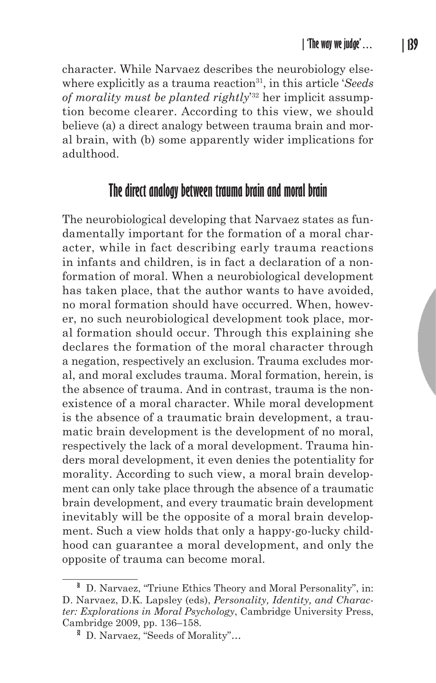character. While Narvaez describes the neurobiology elsewhere explicitly as a trauma reaction<sup>31</sup>, in this article '*Seeds of morality must be planted rightly*' 32 her implicit assumption become clearer. According to this view, we should believe (a) a direct analogy between trauma brain and moral brain, with (b) some apparently wider implications for adulthood.

# **The direct analogy between trauma brain and moral brain**

The neurobiological developing that Narvaez states as fundamentally important for the formation of a moral character, while in fact describing early trauma reactions in infants and children, is in fact a declaration of a nonformation of moral. When a neurobiological development has taken place, that the author wants to have avoided, no moral formation should have occurred. When, however, no such neurobiological development took place, moral formation should occur. Through this explaining she declares the formation of the moral character through a negation, respectively an exclusion. Trauma excludes moral, and moral excludes trauma. Moral formation, herein, is the absence of trauma. And in contrast, trauma is the nonexistence of a moral character. While moral development is the absence of a traumatic brain development, a traumatic brain development is the development of no moral, respectively the lack of a moral development. Trauma hinders moral development, it even denies the potentiality for morality. According to such view, a moral brain development can only take place through the absence of a traumatic brain development, and every traumatic brain development inevitably will be the opposite of a moral brain development. Such a view holds that only a happy-go-lucky childhood can guarantee a moral development, and only the opposite of trauma can become moral.

<sup>&</sup>lt;sup>31</sup> D. Narvaez, "Triune Ethics Theory and Moral Personality", in: D. Narvaez, D.K. Lapsley (eds), *Personality, Identity, and Character: Explorations in Moral Psychology*, Cambridge University Press, Cambridge 2009, pp. 136–158.

<sup>&</sup>lt;sup>3</sup> D. Narvaez, "Seeds of Morality"...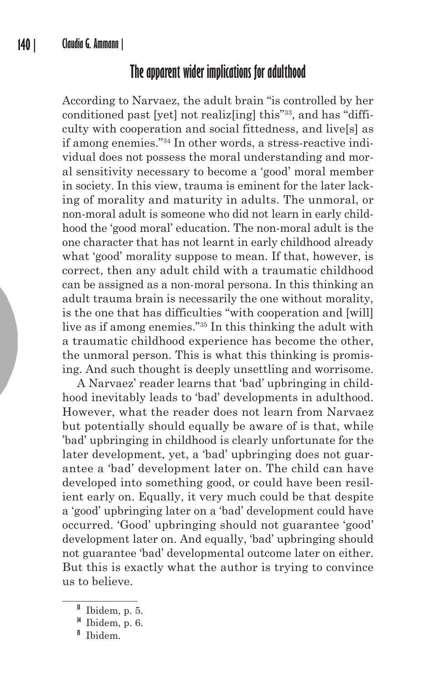## **The apparent wider implications for adulthood**

According to Narvaez, the adult brain "is controlled by her conditioned past [yet] not realiz[ing] this"33, and has "difficulty with cooperation and social fittedness, and live[s] as if among enemies."34 In other words, a stress-reactive individual does not possess the moral understanding and moral sensitivity necessary to become a 'good' moral member in society. In this view, trauma is eminent for the later lacking of morality and maturity in adults. The unmoral, or non-moral adult is someone who did not learn in early childhood the 'good moral' education. The non-moral adult is the one character that has not learnt in early childhood already what 'good' morality suppose to mean. If that, however, is correct, then any adult child with a traumatic childhood can be assigned as a non-moral persona. In this thinking an adult trauma brain is necessarily the one without morality, is the one that has difficulties "with cooperation and [will] live as if among enemies."35 In this thinking the adult with a traumatic childhood experience has become the other, the unmoral person. This is what this thinking is promising. And such thought is deeply unsettling and worrisome.

A Narvaez' reader learns that 'bad' upbringing in childhood inevitably leads to 'bad' developments in adulthood. However, what the reader does not learn from Narvaez but potentially should equally be aware of is that, while 'bad' upbringing in childhood is clearly unfortunate for the later development, yet, a 'bad' upbringing does not guarantee a 'bad' development later on. The child can have developed into something good, or could have been resilient early on. Equally, it very much could be that despite a 'good' upbringing later on a 'bad' development could have occurred. 'Good' upbringing should not guarantee 'good' development later on. And equally, 'bad' upbringing should not guarantee 'bad' developmental outcome later on either. But this is exactly what the author is trying to convince us to believe.

**<sup>33</sup>** Ibidem, p. 5.

**<sup>34</sup>** Ibidem, p. 6.

**<sup>35</sup>** Ibidem.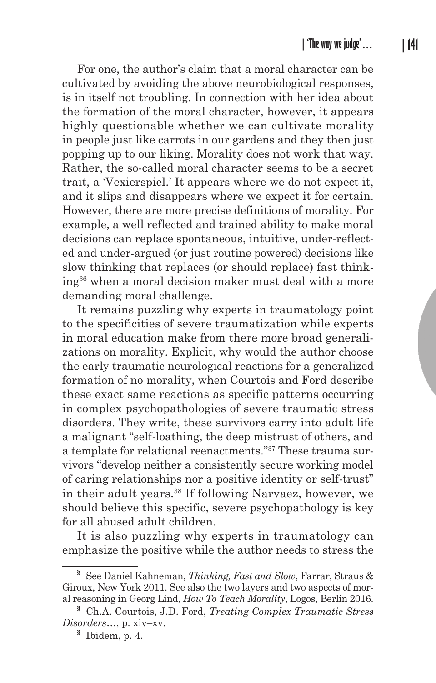For one, the author's claim that a moral character can be cultivated by avoiding the above neurobiological responses, is in itself not troubling. In connection with her idea about the formation of the moral character, however, it appears highly questionable whether we can cultivate morality in people just like carrots in our gardens and they then just popping up to our liking. Morality does not work that way. Rather, the so-called moral character seems to be a secret trait, a 'Vexierspiel.' It appears where we do not expect it, and it slips and disappears where we expect it for certain. However, there are more precise definitions of morality. For example, a well reflected and trained ability to make moral decisions can replace spontaneous, intuitive, under-reflected and under-argued (or just routine powered) decisions like slow thinking that replaces (or should replace) fast thinking36 when a moral decision maker must deal with a more demanding moral challenge.

It remains puzzling why experts in traumatology point to the specificities of severe traumatization while experts in moral education make from there more broad generalizations on morality. Explicit, why would the author choose the early traumatic neurological reactions for a generalized formation of no morality, when Courtois and Ford describe these exact same reactions as specific patterns occurring in complex psychopathologies of severe traumatic stress disorders. They write, these survivors carry into adult life a malignant "self-loathing, the deep mistrust of others, and a template for relational reenactments."37 These trauma survivors "develop neither a consistently secure working model of caring relationships nor a positive identity or self-trust" in their adult years.<sup>38</sup> If following Narvaez, however, we should believe this specific, severe psychopathology is key for all abused adult children.

It is also puzzling why experts in traumatology can emphasize the positive while the author needs to stress the

**<sup>36</sup>** See Daniel Kahneman, *Thinking, Fast and Slow*, Farrar, Straus & Giroux, New York 2011. See also the two layers and two aspects of moral reasoning in Georg Lind, *How To Teach Morality*, Logos, Berlin 2016.

**<sup>37</sup>** Ch.A. Courtois, J.D. Ford, *Treating Complex Traumatic Stress Disorders*…, p. xiv–xv.

**<sup>38</sup>** Ibidem, p. 4.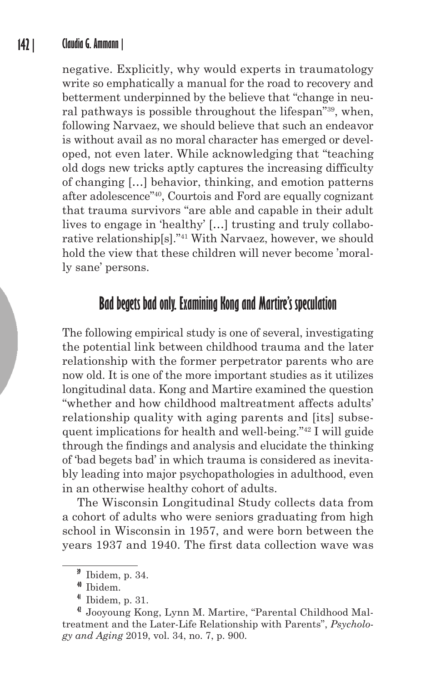### **142 | Claudia G. Ammann |**

negative. Explicitly, why would experts in traumatology write so emphatically a manual for the road to recovery and betterment underpinned by the believe that "change in neural pathways is possible throughout the lifespan"39, when, following Narvaez, we should believe that such an endeavor is without avail as no moral character has emerged or developed, not even later. While acknowledging that "teaching old dogs new tricks aptly captures the increasing difficulty of changing […] behavior, thinking, and emotion patterns after adolescence"40, Courtois and Ford are equally cognizant that trauma survivors "are able and capable in their adult lives to engage in 'healthy' […] trusting and truly collaborative relationship[s]."41 With Narvaez, however, we should hold the view that these children will never become 'morally sane' persons.

# **Bad begets bad only. Examining Kong and Martire's speculation**

The following empirical study is one of several, investigating the potential link between childhood trauma and the later relationship with the former perpetrator parents who are now old. It is one of the more important studies as it utilizes longitudinal data. Kong and Martire examined the question "whether and how childhood maltreatment affects adults' relationship quality with aging parents and [its] subsequent implications for health and well-being."42 I will guide through the findings and analysis and elucidate the thinking of 'bad begets bad' in which trauma is considered as inevitably leading into major psychopathologies in adulthood, even in an otherwise healthy cohort of adults.

The Wisconsin Longitudinal Study collects data from a cohort of adults who were seniors graduating from high school in Wisconsin in 1957, and were born between the years 1937 and 1940. The first data collection wave was

**<sup>39</sup>** Ibidem, p. 34.

**<sup>40</sup>** Ibidem.

**<sup>41</sup>** Ibidem, p. 31.

**<sup>42</sup>** Jooyoung Kong, Lynn M. Martire, "Parental Childhood Maltreatment and the Later-Life Relationship with Parents", *Psychology and Aging* 2019, vol. 34, no. 7, p. 900.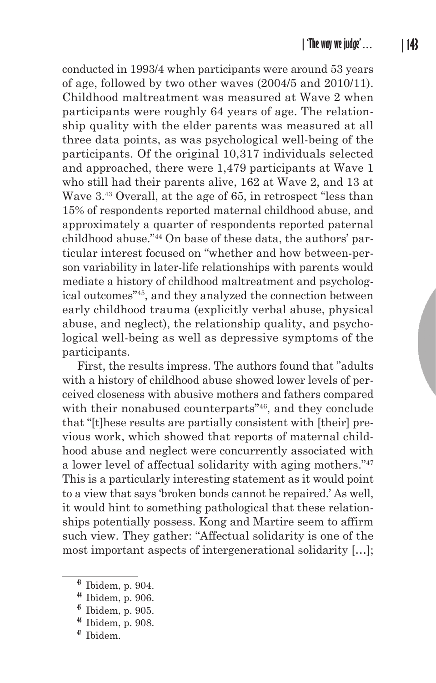conducted in 1993/4 when participants were around 53 years of age, followed by two other waves (2004/5 and 2010/11). Childhood maltreatment was measured at Wave 2 when participants were roughly 64 years of age. The relationship quality with the elder parents was measured at all three data points, as was psychological well-being of the participants. Of the original 10,317 individuals selected and approached, there were 1,479 participants at Wave 1 who still had their parents alive, 162 at Wave 2, and 13 at Wave 3.<sup>43</sup> Overall, at the age of 65, in retrospect "less than 15% of respondents reported maternal childhood abuse, and approximately a quarter of respondents reported paternal childhood abuse."44 On base of these data, the authors' particular interest focused on "whether and how between-person variability in later-life relationships with parents would mediate a history of childhood maltreatment and psychological outcomes"45, and they analyzed the connection between early childhood trauma (explicitly verbal abuse, physical abuse, and neglect), the relationship quality, and psychological well-being as well as depressive symptoms of the participants.

First, the results impress. The authors found that "adults with a history of childhood abuse showed lower levels of perceived closeness with abusive mothers and fathers compared with their nonabused counterparts"<sup>46</sup>, and they conclude that "[t]hese results are partially consistent with [their] previous work, which showed that reports of maternal childhood abuse and neglect were concurrently associated with a lower level of affectual solidarity with aging mothers."47 This is a particularly interesting statement as it would point to a view that says 'broken bonds cannot be repaired.' As well, it would hint to something pathological that these relationships potentially possess. Kong and Martire seem to affirm such view. They gather: "Affectual solidarity is one of the most important aspects of intergenerational solidarity […];

**<sup>43</sup>** Ibidem, p. 904.

**<sup>44</sup>** Ibidem, p. 906.

**<sup>45</sup>** Ibidem, p. 905.

**<sup>46</sup>** Ibidem, p. 908.

**<sup>47</sup>** Ibidem.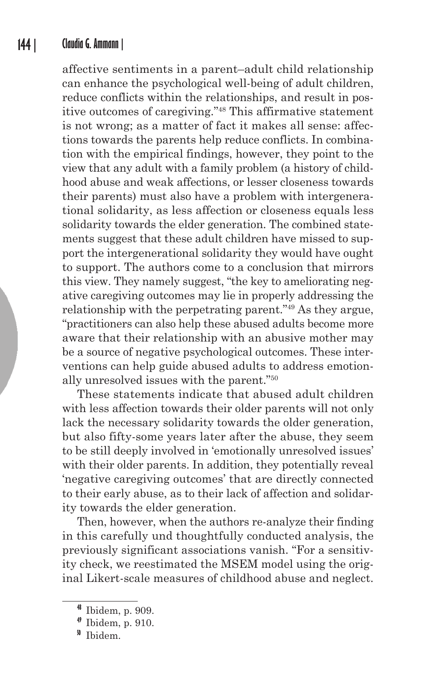#### **144 | Claudia G. Ammann |**

affective sentiments in a parent–adult child relationship can enhance the psychological well-being of adult children, reduce conflicts within the relationships, and result in positive outcomes of caregiving."48 This affirmative statement is not wrong; as a matter of fact it makes all sense: affections towards the parents help reduce conflicts. In combination with the empirical findings, however, they point to the view that any adult with a family problem (a history of childhood abuse and weak affections, or lesser closeness towards their parents) must also have a problem with intergenerational solidarity, as less affection or closeness equals less solidarity towards the elder generation. The combined statements suggest that these adult children have missed to support the intergenerational solidarity they would have ought to support. The authors come to a conclusion that mirrors this view. They namely suggest, "the key to ameliorating negative caregiving outcomes may lie in properly addressing the relationship with the perpetrating parent."49 As they argue, "practitioners can also help these abused adults become more aware that their relationship with an abusive mother may be a source of negative psychological outcomes. These interventions can help guide abused adults to address emotionally unresolved issues with the parent."50

These statements indicate that abused adult children with less affection towards their older parents will not only lack the necessary solidarity towards the older generation, but also fifty-some years later after the abuse, they seem to be still deeply involved in 'emotionally unresolved issues' with their older parents. In addition, they potentially reveal 'negative caregiving outcomes' that are directly connected to their early abuse, as to their lack of affection and solidarity towards the elder generation.

Then, however, when the authors re-analyze their finding in this carefully und thoughtfully conducted analysis, the previously significant associations vanish. "For a sensitivity check, we reestimated the MSEM model using the original Likert-scale measures of childhood abuse and neglect.

**<sup>48</sup>** Ibidem, p. 909.

**<sup>49</sup>** Ibidem, p. 910.

**<sup>50</sup>** Ibidem.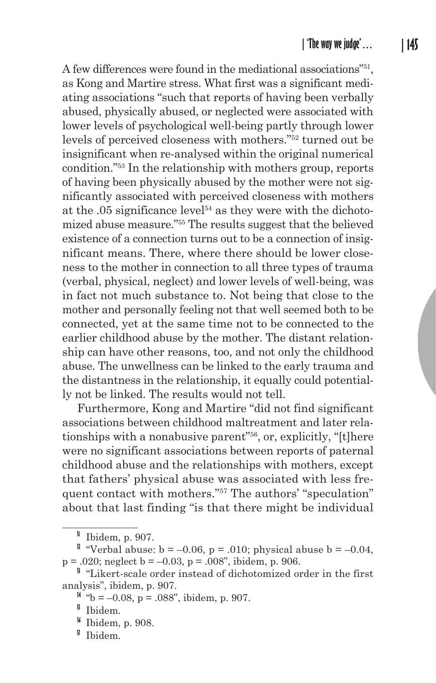A few differences were found in the mediational associations"51, as Kong and Martire stress. What first was a significant mediating associations "such that reports of having been verbally abused, physically abused, or neglected were associated with lower levels of psychological well-being partly through lower levels of perceived closeness with mothers."52 turned out be insignificant when re-analysed within the original numerical condition."53 In the relationship with mothers group, reports of having been physically abused by the mother were not significantly associated with perceived closeness with mothers at the  $.05$  significance level<sup> $54$ </sup> as they were with the dichotomized abuse measure."55 The results suggest that the believed existence of a connection turns out to be a connection of insignificant means. There, where there should be lower closeness to the mother in connection to all three types of trauma (verbal, physical, neglect) and lower levels of well-being, was in fact not much substance to. Not being that close to the mother and personally feeling not that well seemed both to be connected, yet at the same time not to be connected to the earlier childhood abuse by the mother. The distant relationship can have other reasons, too, and not only the childhood abuse. The unwellness can be linked to the early trauma and the distantness in the relationship, it equally could potentially not be linked. The results would not tell.

Furthermore, Kong and Martire "did not find significant associations between childhood maltreatment and later relationships with a nonabusive parent"56, or, explicitly, "[t]here were no significant associations between reports of paternal childhood abuse and the relationships with mothers, except that fathers' physical abuse was associated with less frequent contact with mothers."57 The authors' "speculation" about that last finding "is that there might be individual

**<sup>51</sup>** Ibidem, p. 907.

<sup>&</sup>lt;sup>2</sup> "Verbal abuse:  $b = -0.06$ ,  $p = .010$ ; physical abuse  $b = -0.04$ ,  $p = .020$ ; neglect  $b = -0.03$ ,  $p = .008$ ", ibidem, p. 906.

<sup>&</sup>lt;sup>3</sup> "Likert-scale order instead of dichotomized order in the first analysis", ibidem, p. 907.

 $^{4}$  "b = –0.08, p = .088", ibidem, p. 907.

**<sup>55</sup>** Ibidem.

**<sup>56</sup>** Ibidem, p. 908.

**<sup>57</sup>** Ibidem.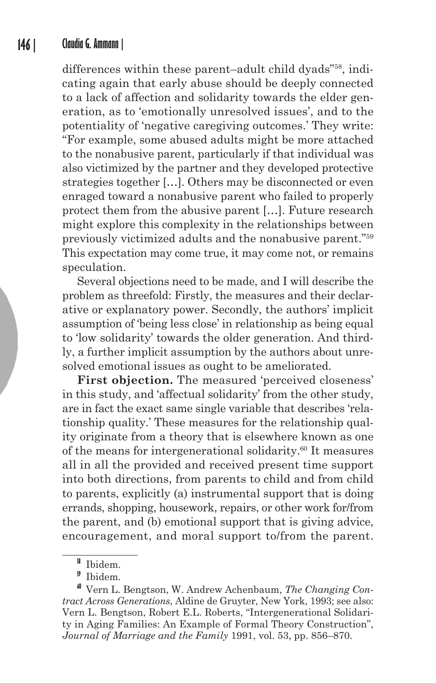differences within these parent–adult child dyads"58, indicating again that early abuse should be deeply connected to a lack of affection and solidarity towards the elder generation, as to 'emotionally unresolved issues', and to the potentiality of 'negative caregiving outcomes.' They write: "For example, some abused adults might be more attached to the nonabusive parent, particularly if that individual was also victimized by the partner and they developed protective strategies together […]. Others may be disconnected or even enraged toward a nonabusive parent who failed to properly protect them from the abusive parent […]. Future research might explore this complexity in the relationships between previously victimized adults and the nonabusive parent."59 This expectation may come true, it may come not, or remains speculation.

Several objections need to be made, and I will describe the problem as threefold: Firstly, the measures and their declarative or explanatory power. Secondly, the authors' implicit assumption of 'being less close' in relationship as being equal to 'low solidarity' towards the older generation. And thirdly, a further implicit assumption by the authors about unresolved emotional issues as ought to be ameliorated.

First objection. The measured 'perceived closeness' in this study, and 'affectual solidarity' from the other study, are in fact the exact same single variable that describes 'relationship quality.' These measures for the relationship quality originate from a theory that is elsewhere known as one of the means for intergenerational solidarity.60 It measures all in all the provided and received present time support into both directions, from parents to child and from child to parents, explicitly (a) instrumental support that is doing errands, shopping, housework, repairs, or other work for/from the parent, and (b) emotional support that is giving advice, encouragement, and moral support to/from the parent.

**<sup>58</sup>** Ibidem.

**<sup>59</sup>** Ibidem.

**<sup>60</sup>** Vern L. Bengtson, W. Andrew Achenbaum, *The Changing Contract Across Generations*, Aldine de Gruyter, New York, 1993; see also: Vern L. Bengtson, Robert E.L. Roberts, "Intergenerational Solidarity in Aging Families: An Example of Formal Theory Construction", *Journal of Marriage and the Family* 1991, vol. 53, pp. 856–870.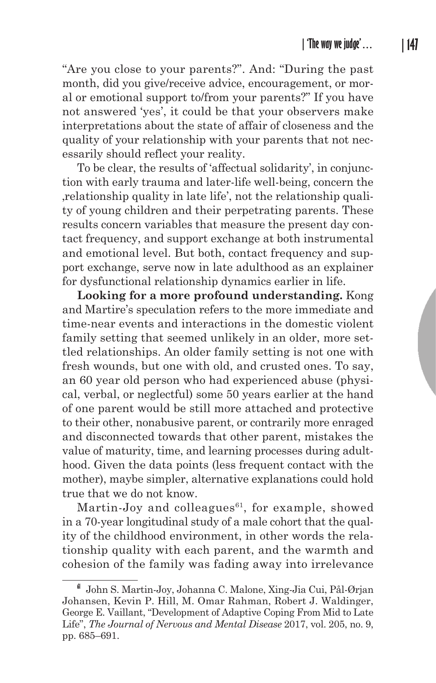"Are you close to your parents?". And: "During the past month, did you give/receive advice, encouragement, or moral or emotional support to/from your parents?" If you have not answered 'yes', it could be that your observers make interpretations about the state of affair of closeness and the quality of your relationship with your parents that not necessarily should reflect your reality.

To be clear, the results of 'affectual solidarity', in conjunction with early trauma and later-life well-being, concern the 'relationship quality in late life', not the relationship quality of young children and their perpetrating parents. These results concern variables that measure the present day contact frequency, and support exchange at both instrumental and emotional level. But both, contact frequency and support exchange, serve now in late adulthood as an explainer for dysfunctional relationship dynamics earlier in life.

**Looking for a more profound understanding.** Kong and Martire's speculation refers to the more immediate and time-near events and interactions in the domestic violent family setting that seemed unlikely in an older, more settled relationships. An older family setting is not one with fresh wounds, but one with old, and crusted ones. To say, an 60 year old person who had experienced abuse (physical, verbal, or neglectful) some 50 years earlier at the hand of one parent would be still more attached and protective to their other, nonabusive parent, or contrarily more enraged and disconnected towards that other parent, mistakes the value of maturity, time, and learning processes during adulthood. Given the data points (less frequent contact with the mother), maybe simpler, alternative explanations could hold true that we do not know.

Martin-Joy and colleagues $^{61}$ , for example, showed in a 70-year longitudinal study of a male cohort that the quality of the childhood environment, in other words the relationship quality with each parent, and the warmth and cohesion of the family was fading away into irrelevance

**<sup>61</sup>** John S. Martin-Joy, Johanna C. Malone, Xing-Jia Cui, Pål-Ørjan Johansen, Kevin P. Hill, M. Omar Rahman, Robert J. Waldinger, George E. Vaillant, "Development of Adaptive Coping From Mid to Late Life", *The Journal of Nervous and Mental Disease* 2017, vol. 205, no. 9, pp. 685–691.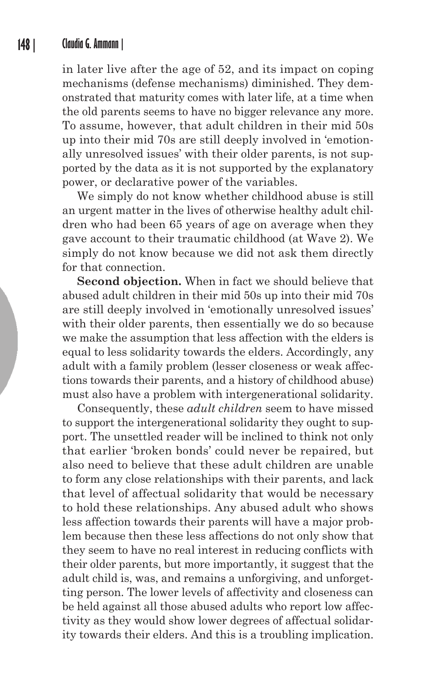in later live after the age of 52, and its impact on coping mechanisms (defense mechanisms) diminished. They demonstrated that maturity comes with later life, at a time when the old parents seems to have no bigger relevance any more. To assume, however, that adult children in their mid 50s up into their mid 70s are still deeply involved in 'emotionally unresolved issues' with their older parents, is not supported by the data as it is not supported by the explanatory power, or declarative power of the variables.

We simply do not know whether childhood abuse is still an urgent matter in the lives of otherwise healthy adult children who had been 65 years of age on average when they gave account to their traumatic childhood (at Wave 2). We simply do not know because we did not ask them directly for that connection.

**Second objection.** When in fact we should believe that abused adult children in their mid 50s up into their mid 70s are still deeply involved in 'emotionally unresolved issues' with their older parents, then essentially we do so because we make the assumption that less affection with the elders is equal to less solidarity towards the elders. Accordingly, any adult with a family problem (lesser closeness or weak affections towards their parents, and a history of childhood abuse) must also have a problem with intergenerational solidarity.

Consequently, these *adult children* seem to have missed to support the intergenerational solidarity they ought to support. The unsettled reader will be inclined to think not only that earlier 'broken bonds' could never be repaired, but also need to believe that these adult children are unable to form any close relationships with their parents, and lack that level of affectual solidarity that would be necessary to hold these relationships. Any abused adult who shows less affection towards their parents will have a major problem because then these less affections do not only show that they seem to have no real interest in reducing conflicts with their older parents, but more importantly, it suggest that the adult child is, was, and remains a unforgiving, and unforgetting person. The lower levels of affectivity and closeness can be held against all those abused adults who report low affectivity as they would show lower degrees of affectual solidarity towards their elders. And this is a troubling implication.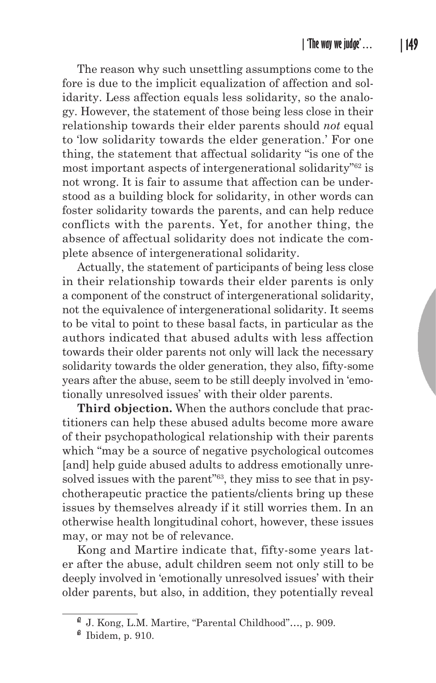The reason why such unsettling assumptions come to the fore is due to the implicit equalization of affection and solidarity. Less affection equals less solidarity, so the analogy. However, the statement of those being less close in their relationship towards their elder parents should *not* equal to 'low solidarity towards the elder generation.' For one thing, the statement that affectual solidarity "is one of the most important aspects of intergenerational solidarity"62 is not wrong. It is fair to assume that affection can be understood as a building block for solidarity, in other words can foster solidarity towards the parents, and can help reduce conflicts with the parents. Yet, for another thing, the absence of affectual solidarity does not indicate the complete absence of intergenerational solidarity.

Actually, the statement of participants of being less close in their relationship towards their elder parents is only a component of the construct of intergenerational solidarity, not the equivalence of intergenerational solidarity. It seems to be vital to point to these basal facts, in particular as the authors indicated that abused adults with less affection towards their older parents not only will lack the necessary solidarity towards the older generation, they also, fifty-some years after the abuse, seem to be still deeply involved in 'emotionally unresolved issues' with their older parents.

**Third objection.** When the authors conclude that practitioners can help these abused adults become more aware of their psychopathological relationship with their parents which "may be a source of negative psychological outcomes [and] help guide abused adults to address emotionally unresolved issues with the parent<sup>"63</sup>, they miss to see that in psychotherapeutic practice the patients/clients bring up these issues by themselves already if it still worries them. In an otherwise health longitudinal cohort, however, these issues may, or may not be of relevance.

Kong and Martire indicate that, fifty-some years later after the abuse, adult children seem not only still to be deeply involved in 'emotionally unresolved issues' with their older parents, but also, in addition, they potentially reveal

**<sup>62</sup>** J. Kong, L.M. Martire, "Parental Childhood"…, p. 909.

**<sup>63</sup>** Ibidem, p. 910.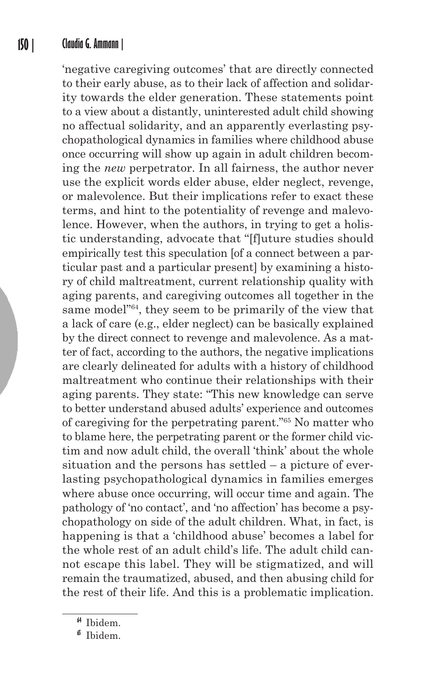#### **150 | Claudia G. Ammann |**

'negative caregiving outcomes' that are directly connected to their early abuse, as to their lack of affection and solidarity towards the elder generation. These statements point to a view about a distantly, uninterested adult child showing no affectual solidarity, and an apparently everlasting psychopathological dynamics in families where childhood abuse once occurring will show up again in adult children becoming the *new* perpetrator. In all fairness, the author never use the explicit words elder abuse, elder neglect, revenge, or malevolence. But their implications refer to exact these terms, and hint to the potentiality of revenge and malevolence. However, when the authors, in trying to get a holistic understanding, advocate that "[f]uture studies should empirically test this speculation [of a connect between a particular past and a particular present] by examining a history of child maltreatment, current relationship quality with aging parents, and caregiving outcomes all together in the same model"64, they seem to be primarily of the view that a lack of care (e.g., elder neglect) can be basically explained by the direct connect to revenge and malevolence. As a matter of fact, according to the authors, the negative implications are clearly delineated for adults with a history of childhood maltreatment who continue their relationships with their aging parents. They state: "This new knowledge can serve to better understand abused adults' experience and outcomes of caregiving for the perpetrating parent."65 No matter who to blame here, the perpetrating parent or the former child victim and now adult child, the overall 'think' about the whole situation and the persons has settled – a picture of everlasting psychopathological dynamics in families emerges where abuse once occurring, will occur time and again. The pathology of 'no contact', and 'no affection' has become a psychopathology on side of the adult children. What, in fact, is happening is that a 'childhood abuse' becomes a label for the whole rest of an adult child's life. The adult child cannot escape this label. They will be stigmatized, and will remain the traumatized, abused, and then abusing child for the rest of their life. And this is a problematic implication.

**<sup>64</sup>** Ibidem.

**<sup>65</sup>** Ibidem.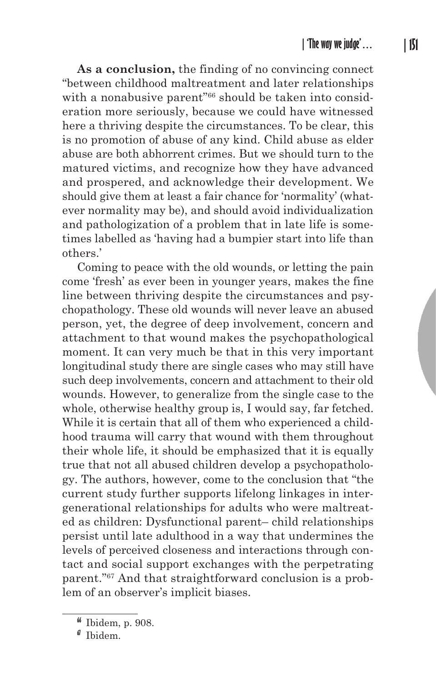**As a conclusion,** the finding of no convincing connect "between childhood maltreatment and later relationships with a nonabusive parent<sup>"66</sup> should be taken into consideration more seriously, because we could have witnessed here a thriving despite the circumstances. To be clear, this is no promotion of abuse of any kind. Child abuse as elder abuse are both abhorrent crimes. But we should turn to the matured victims, and recognize how they have advanced and prospered, and acknowledge their development. We should give them at least a fair chance for 'normality' (whatever normality may be), and should avoid individualization and pathologization of a problem that in late life is sometimes labelled as 'having had a bumpier start into life than others.'

Coming to peace with the old wounds, or letting the pain come 'fresh' as ever been in younger years, makes the fine line between thriving despite the circumstances and psychopathology. These old wounds will never leave an abused person, yet, the degree of deep involvement, concern and attachment to that wound makes the psychopathological moment. It can very much be that in this very important longitudinal study there are single cases who may still have such deep involvements, concern and attachment to their old wounds. However, to generalize from the single case to the whole, otherwise healthy group is, I would say, far fetched. While it is certain that all of them who experienced a childhood trauma will carry that wound with them throughout their whole life, it should be emphasized that it is equally true that not all abused children develop a psychopathology. The authors, however, come to the conclusion that "the current study further supports lifelong linkages in intergenerational relationships for adults who were maltreated as children: Dysfunctional parent– child relationships persist until late adulthood in a way that undermines the levels of perceived closeness and interactions through contact and social support exchanges with the perpetrating parent."67 And that straightforward conclusion is a problem of an observer's implicit biases.

**<sup>66</sup>** Ibidem, p. 908.

**<sup>67</sup>** Ibidem.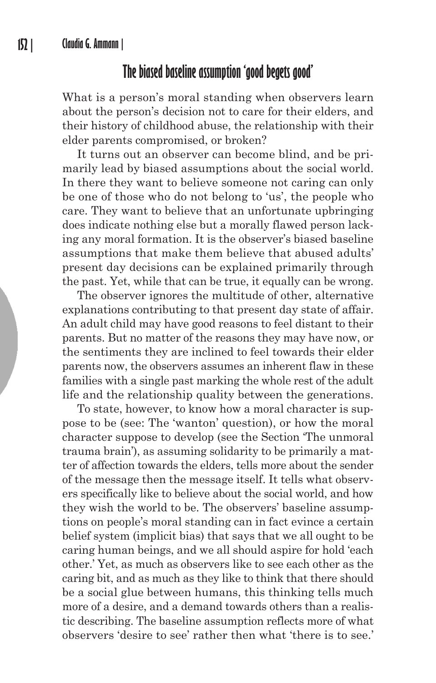## **The biased baseline assumption 'good begets good'**

What is a person's moral standing when observers learn about the person's decision not to care for their elders, and their history of childhood abuse, the relationship with their elder parents compromised, or broken?

It turns out an observer can become blind, and be primarily lead by biased assumptions about the social world. In there they want to believe someone not caring can only be one of those who do not belong to 'us', the people who care. They want to believe that an unfortunate upbringing does indicate nothing else but a morally flawed person lacking any moral formation. It is the observer's biased baseline assumptions that make them believe that abused adults' present day decisions can be explained primarily through the past. Yet, while that can be true, it equally can be wrong.

The observer ignores the multitude of other, alternative explanations contributing to that present day state of affair. An adult child may have good reasons to feel distant to their parents. But no matter of the reasons they may have now, or the sentiments they are inclined to feel towards their elder parents now, the observers assumes an inherent flaw in these families with a single past marking the whole rest of the adult life and the relationship quality between the generations.

To state, however, to know how a moral character is suppose to be (see: The 'wanton' question), or how the moral character suppose to develop (see the Section 'The unmoral trauma brain'), as assuming solidarity to be primarily a matter of affection towards the elders, tells more about the sender of the message then the message itself. It tells what observers specifically like to believe about the social world, and how they wish the world to be. The observers' baseline assumptions on people's moral standing can in fact evince a certain belief system (implicit bias) that says that we all ought to be caring human beings, and we all should aspire for hold 'each other.' Yet, as much as observers like to see each other as the caring bit, and as much as they like to think that there should be a social glue between humans, this thinking tells much more of a desire, and a demand towards others than a realistic describing. The baseline assumption reflects more of what observers 'desire to see' rather then what 'there is to see.'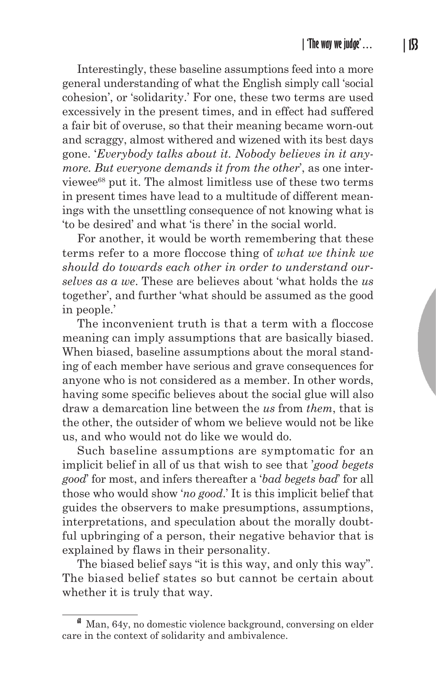Interestingly, these baseline assumptions feed into a more general understanding of what the English simply call 'social cohesion', or 'solidarity.' For one, these two terms are used excessively in the present times, and in effect had suffered a fair bit of overuse, so that their meaning became worn-out and scraggy, almost withered and wizened with its best days gone. '*Everybody talks about it. Nobody believes in it anymore. But everyone demands it from the other*', as one interviewee68 put it. The almost limitless use of these two terms in present times have lead to a multitude of different meanings with the unsettling consequence of not knowing what is 'to be desired' and what 'is there' in the social world.

For another, it would be worth remembering that these terms refer to a more floccose thing of *what we think we should do towards each other in order to understand ourselves as a we*. These are believes about 'what holds the *us* together', and further 'what should be assumed as the good in people.'

The inconvenient truth is that a term with a floccose meaning can imply assumptions that are basically biased. When biased, baseline assumptions about the moral standing of each member have serious and grave consequences for anyone who is not considered as a member. In other words, having some specific believes about the social glue will also draw a demarcation line between the *us* from *them*, that is the other, the outsider of whom we believe would not be like us, and who would not do like we would do.

Such baseline assumptions are symptomatic for an implicit belief in all of us that wish to see that '*good begets good*' for most, and infers thereafter a '*bad begets bad*' for all those who would show '*no good*.' It is this implicit belief that guides the observers to make presumptions, assumptions, interpretations, and speculation about the morally doubtful upbringing of a person, their negative behavior that is explained by flaws in their personality.

The biased belief says "it is this way, and only this way". The biased belief states so but cannot be certain about whether it is truly that way.

**<sup>68</sup>** Man, 64y, no domestic violence background, conversing on elder care in the context of solidarity and ambivalence.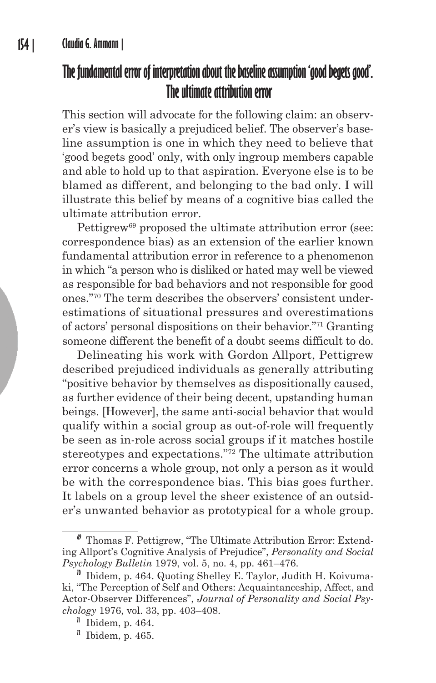# **The fundamental error of interpretation about the baseline assumption 'good begets good'. The ultimate attribution error**

This section will advocate for the following claim: an observer's view is basically a prejudiced belief. The observer's baseline assumption is one in which they need to believe that 'good begets good' only, with only ingroup members capable and able to hold up to that aspiration. Everyone else is to be blamed as different, and belonging to the bad only. I will illustrate this belief by means of a cognitive bias called the ultimate attribution error.

Pettigrew<sup>69</sup> proposed the ultimate attribution error (see: correspondence bias) as an extension of the earlier known fundamental attribution error in reference to a phenomenon in which "a person who is disliked or hated may well be viewed as responsible for bad behaviors and not responsible for good ones."70 The term describes the observers' consistent underestimations of situational pressures and overestimations of actors' personal dispositions on their behavior."71 Granting someone different the benefit of a doubt seems difficult to do.

Delineating his work with Gordon Allport, Pettigrew described prejudiced individuals as generally attributing "positive behavior by themselves as dispositionally caused, as further evidence of their being decent, upstanding human beings. [However], the same anti-social behavior that would qualify within a social group as out-of-role will frequently be seen as in-role across social groups if it matches hostile stereotypes and expectations."72 The ultimate attribution error concerns a whole group, not only a person as it would be with the correspondence bias. This bias goes further. It labels on a group level the sheer existence of an outsider's unwanted behavior as prototypical for a whole group.

**<sup>69</sup>** Thomas F. Pettigrew, "The Ultimate Attribution Error: Extending Allport's Cognitive Analysis of Prejudice", *Personality and Social Psychology Bulletin* 1979, vol. 5, no. 4, pp. 461–476.

**<sup>70</sup>** Ibidem, p. 464. Quoting Shelley E. Taylor, Judith H. Koivumaki, "The Perception of Self and Others: Acquaintanceship, Affect, and Actor-Observer Differences", *Journal of Personality and Social Psychology* 1976, vol. 33, pp. 403–408.

**<sup>71</sup>** Ibidem, p. 464.

**<sup>72</sup>** Ibidem, p. 465.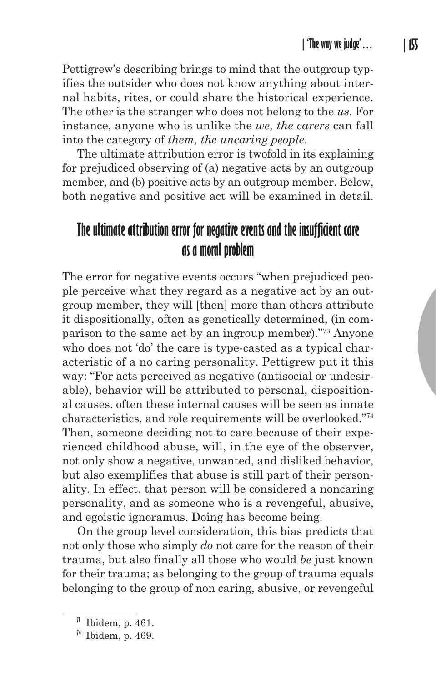Pettigrew's describing brings to mind that the outgroup typifies the outsider who does not know anything about internal habits, rites, or could share the historical experience. The other is the stranger who does not belong to the *us*. For instance, anyone who is unlike the *we, the carers* can fall into the category of *them, the uncaring people*.

The ultimate attribution error is twofold in its explaining for prejudiced observing of (a) negative acts by an outgroup member, and (b) positive acts by an outgroup member. Below, both negative and positive act will be examined in detail.

# **The ultimate attribution error for negative events and the insufficient care as a moral problem**

The error for negative events occurs "when prejudiced people perceive what they regard as a negative act by an outgroup member, they will [then] more than others attribute it dispositionally, often as genetically determined, (in comparison to the same act by an ingroup member)."73 Anyone who does not 'do' the care is type-casted as a typical characteristic of a no caring personality. Pettigrew put it this way: "For acts perceived as negative (antisocial or undesirable), behavior will be attributed to personal, dispositional causes. often these internal causes will be seen as innate characteristics, and role requirements will be overlooked."74 Then, someone deciding not to care because of their experienced childhood abuse, will, in the eye of the observer, not only show a negative, unwanted, and disliked behavior, but also exemplifies that abuse is still part of their personality. In effect, that person will be considered a noncaring personality, and as someone who is a revengeful, abusive, and egoistic ignoramus. Doing has become being.

On the group level consideration, this bias predicts that not only those who simply *do* not care for the reason of their trauma, but also finally all those who would *be* just known for their trauma; as belonging to the group of trauma equals belonging to the group of non caring, abusive, or revengeful

**<sup>73</sup>** Ibidem, p. 461.

**<sup>74</sup>** Ibidem, p. 469.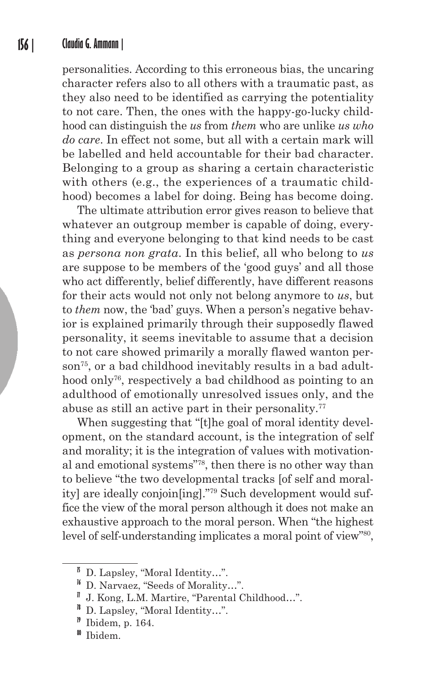personalities. According to this erroneous bias, the uncaring character refers also to all others with a traumatic past, as they also need to be identified as carrying the potentiality to not care. Then, the ones with the happy-go-lucky childhood can distinguish the *us* from *them* who are unlike *us who do care*. In effect not some, but all with a certain mark will be labelled and held accountable for their bad character. Belonging to a group as sharing a certain characteristic with others (e.g., the experiences of a traumatic childhood) becomes a label for doing. Being has become doing.

The ultimate attribution error gives reason to believe that whatever an outgroup member is capable of doing, everything and everyone belonging to that kind needs to be cast as *persona non grata*. In this belief, all who belong to *us* are suppose to be members of the 'good guys' and all those who act differently, belief differently, have different reasons for their acts would not only not belong anymore to *us*, but to *them* now, the 'bad' guys. When a person's negative behavior is explained primarily through their supposedly flawed personality, it seems inevitable to assume that a decision to not care showed primarily a morally flawed wanton person<sup>75</sup>, or a bad childhood inevitably results in a bad adulthood only<sup>76</sup>, respectively a bad childhood as pointing to an adulthood of emotionally unresolved issues only, and the abuse as still an active part in their personality.<sup>77</sup>

When suggesting that "[t]he goal of moral identity development, on the standard account, is the integration of self and morality; it is the integration of values with motivational and emotional systems"78, then there is no other way than to believe "the two developmental tracks [of self and morality] are ideally conjoin[ing]."79 Such development would suffice the view of the moral person although it does not make an exhaustive approach to the moral person. When "the highest level of self-understanding implicates a moral point of view"<sup>80</sup>,

**<sup>79</sup>** Ibidem, p. 164.

**<sup>75</sup>** D. Lapsley, "Moral Identity…".

**<sup>76</sup>** D. Narvaez, "Seeds of Morality…".

**<sup>77</sup>** J. Kong, L.M. Martire, "Parental Childhood…".

**<sup>78</sup>** D. Lapsley, "Moral Identity…".

**<sup>80</sup>** Ibidem.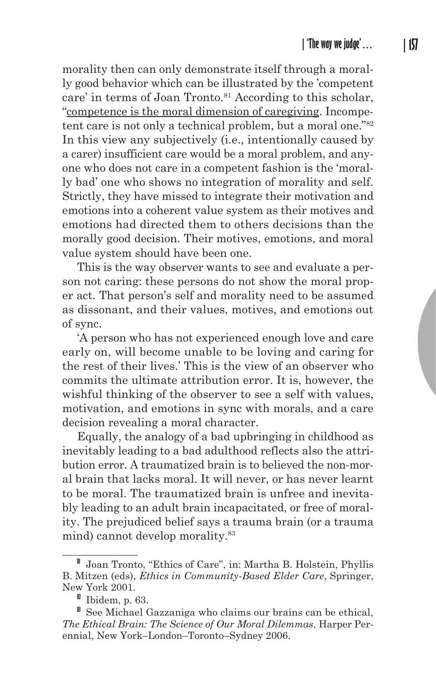morality then can only demonstrate itself through a morally good behavior which can be illustrated by the 'competent care' in terms of Joan Tronto.<sup>81</sup> According to this scholar, "competence is the moral dimension of caregiving. Incompetent care is not only a technical problem, but a moral one."<sup>82</sup> In this view any subjectively (i.e., intentionally caused by a carer) insufficient care would be a moral problem, and anyone who does not care in a competent fashion is the 'morally bad' one who shows no integration of morality and self. Strictly, they have missed to integrate their motivation and emotions into a coherent value system as their motives and emotions had directed them to others decisions than the morally good decision. Their motives, emotions, and moral value system should have been one.

This is the way observer wants to see and evaluate a person not caring: these persons do not show the moral proper act. That person's self and morality need to be assumed as dissonant, and their values, motives, and emotions out of sync.

'A person who has not experienced enough love and care early on, will become unable to be loving and caring for the rest of their lives.' This is the view of an observer who commits the ultimate attribution error. It is, however, the wishful thinking of the observer to see a self with values, motivation, and emotions in sync with morals, and a care decision revealing a moral character.

Equally, the analogy of a bad upbringing in childhood as inevitably leading to a bad adulthood reflects also the attribution error. A traumatized brain is to believed the non-moral brain that lacks moral. It will never, or has never learnt to be moral. The traumatized brain is unfree and inevitably leading to an adult brain incapacitated, or free of morality. The prejudiced belief says a trauma brain (or a trauma mind) cannot develop morality.<sup>83</sup>

**<sup>81</sup>** Joan Tronto, "Ethics of Care", in: Martha B. Holstein, Phyllis B. Mitzen (eds), *Ethics in Community-Based Elder Care*, Springer, New York 2001.

**<sup>82</sup>** Ibidem, p. 63.

**<sup>83</sup>** See Michael Gazzaniga who claims our brains can be ethical, *The Ethical Brain: The Science of Our Moral Dilemmas*, Harper Perennial, New York–London–Toronto–Sydney 2006.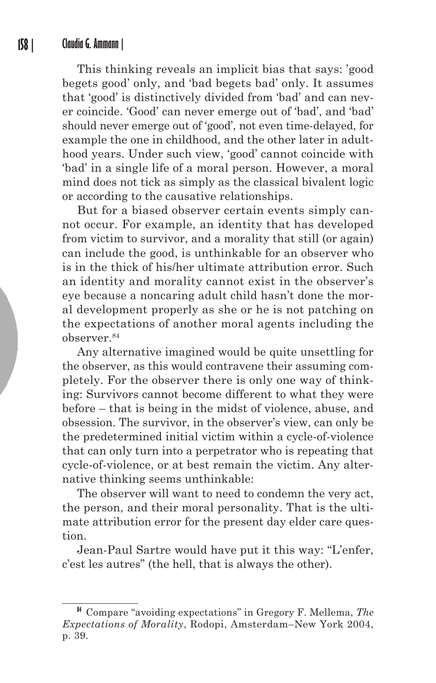This thinking reveals an implicit bias that says: 'good begets good' only, and 'bad begets bad' only. It assumes that 'good' is distinctively divided from 'bad' and can never coincide. 'Good' can never emerge out of 'bad', and 'bad' should never emerge out of 'good', not even time-delayed, for example the one in childhood, and the other later in adulthood years. Under such view, 'good' cannot coincide with 'bad' in a single life of a moral person. However, a moral mind does not tick as simply as the classical bivalent logic or according to the causative relationships.

But for a biased observer certain events simply cannot occur. For example, an identity that has developed from victim to survivor, and a morality that still (or again) can include the good, is unthinkable for an observer who is in the thick of his/her ultimate attribution error. Such an identity and morality cannot exist in the observer's eye because a noncaring adult child hasn't done the moral development properly as she or he is not patching on the expectations of another moral agents including the observer.<sup>84</sup>

Any alternative imagined would be quite unsettling for the observer, as this would contravene their assuming completely. For the observer there is only one way of thinking: Survivors cannot become different to what they were before – that is being in the midst of violence, abuse, and obsession. The survivor, in the observer's view, can only be the predetermined initial victim within a cycle-of-violence that can only turn into a perpetrator who is repeating that cycle-of-violence, or at best remain the victim. Any alternative thinking seems unthinkable:

The observer will want to need to condemn the very act, the person, and their moral personality. That is the ultimate attribution error for the present day elder care question.

Jean-Paul Sartre would have put it this way: "L'enfer, c'est les autres" (the hell, that is always the other).

**<sup>84</sup>** Compare "avoiding expectations" in Gregory F. Mellema, *The Expectations of Morality*, Rodopi, Amsterdam–New York 2004, p. 39.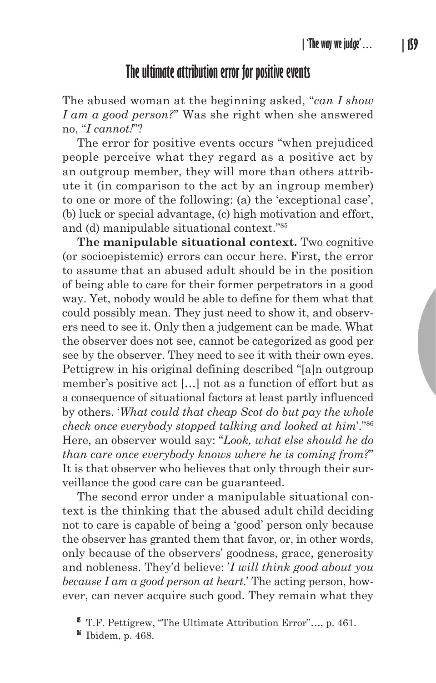# **The ultimate attribution error for positive events**

The abused woman at the beginning asked, "*can I show I am a good person?*" Was she right when she answered no, "*I cannot!*"?

The error for positive events occurs "when prejudiced people perceive what they regard as a positive act by an outgroup member, they will more than others attribute it (in comparison to the act by an ingroup member) to one or more of the following: (a) the 'exceptional case', (b) luck or special advantage, (c) high motivation and effort, and (d) manipulable situational context."85

**The manipulable situational context.** Two cognitive (or socioepistemic) errors can occur here. First, the error to assume that an abused adult should be in the position of being able to care for their former perpetrators in a good way. Yet, nobody would be able to define for them what that could possibly mean. They just need to show it, and observers need to see it. Only then a judgement can be made. What the observer does not see, cannot be categorized as good per see by the observer. They need to see it with their own eyes. Pettigrew in his original defining described "[a]n outgroup member's positive act […] not as a function of effort but as a consequence of situational factors at least partly influenced by others. '*What could that cheap Scot do but pay the whole check once everybody stopped talking and looked at him*'."86 Here, an observer would say: "*Look, what else should he do than care once everybody knows where he is coming from?*" It is that observer who believes that only through their surveillance the good care can be guaranteed.

The second error under a manipulable situational context is the thinking that the abused adult child deciding not to care is capable of being a 'good' person only because the observer has granted them that favor, or, in other words, only because of the observers' goodness, grace, generosity and nobleness. They'd believe: '*I will think good about you because I am a good person at heart*.' The acting person, however, can never acquire such good. They remain what they

**<sup>85</sup>** T.F. Pettigrew, "The Ultimate Attribution Error"…, p. 461.

**<sup>86</sup>** Ibidem, p. 468.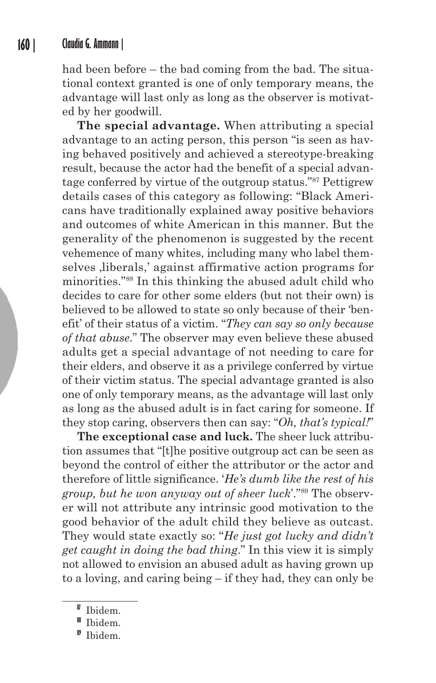had been before – the bad coming from the bad. The situational context granted is one of only temporary means, the advantage will last only as long as the observer is motivated by her goodwill.

**The special advantage.** When attributing a special advantage to an acting person, this person "is seen as having behaved positively and achieved a stereotype-breaking result, because the actor had the benefit of a special advantage conferred by virtue of the outgroup status."87 Pettigrew details cases of this category as following: "Black Americans have traditionally explained away positive behaviors and outcomes of white American in this manner. But the generality of the phenomenon is suggested by the recent vehemence of many whites, including many who label themselves liberals,' against affirmative action programs for minorities."88 In this thinking the abused adult child who decides to care for other some elders (but not their own) is believed to be allowed to state so only because of their 'benefit' of their status of a victim. "*They can say so only because of that abuse*." The observer may even believe these abused adults get a special advantage of not needing to care for their elders, and observe it as a privilege conferred by virtue of their victim status. The special advantage granted is also one of only temporary means, as the advantage will last only as long as the abused adult is in fact caring for someone. If they stop caring, observers then can say: "*Oh, that's typical!*"

**The exceptional case and luck.** The sheer luck attribution assumes that "[t]he positive outgroup act can be seen as beyond the control of either the attributor or the actor and therefore of little significance. '*He's dumb like the rest of his group, but he won anyway out of sheer luck*'."89 The observer will not attribute any intrinsic good motivation to the good behavior of the adult child they believe as outcast. They would state exactly so: "*He just got lucky and didn't get caught in doing the bad thing*." In this view it is simply not allowed to envision an abused adult as having grown up to a loving, and caring being – if they had, they can only be

**<sup>87</sup>** Ibidem.

**<sup>88</sup>** Ibidem.

**<sup>89</sup>** Ibidem.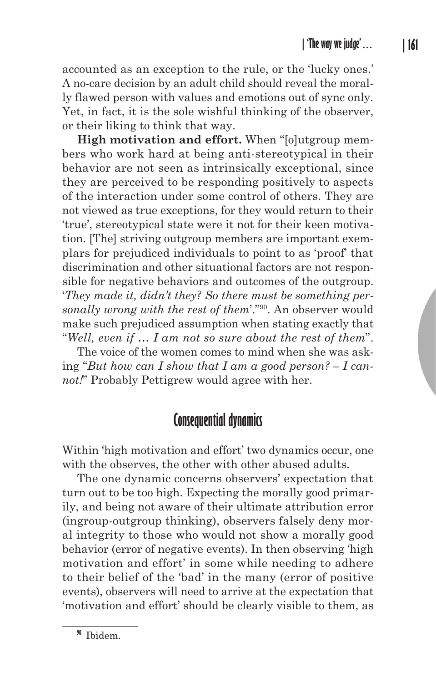accounted as an exception to the rule, or the 'lucky ones.' A no-care decision by an adult child should reveal the morally flawed person with values and emotions out of sync only. Yet, in fact, it is the sole wishful thinking of the observer, or their liking to think that way.

**High motivation and effort.** When "[o]utgroup members who work hard at being anti-stereotypical in their behavior are not seen as intrinsically exceptional, since they are perceived to be responding positively to aspects of the interaction under some control of others. They are not viewed as true exceptions, for they would return to their 'true', stereotypical state were it not for their keen motivation. [The] striving outgroup members are important exemplars for prejudiced individuals to point to as 'proof' that discrimination and other situational factors are not responsible for negative behaviors and outcomes of the outgroup. '*They made it, didn't they? So there must be something personally wrong with the rest of them*'."90. An observer would make such prejudiced assumption when stating exactly that "*Well, even if … I am not so sure about the rest of them*".

The voice of the women comes to mind when she was asking "*But how can I show that I am a good person? – I cannot!*" Probably Pettigrew would agree with her.

# **Consequential dynamics**

Within 'high motivation and effort' two dynamics occur, one with the observes, the other with other abused adults.

The one dynamic concerns observers' expectation that turn out to be too high. Expecting the morally good primarily, and being not aware of their ultimate attribution error (ingroup-outgroup thinking), observers falsely deny moral integrity to those who would not show a morally good behavior (error of negative events). In then observing 'high motivation and effort' in some while needing to adhere to their belief of the 'bad' in the many (error of positive events), observers will need to arrive at the expectation that 'motivation and effort' should be clearly visible to them, as

**<sup>90</sup>** Ibidem.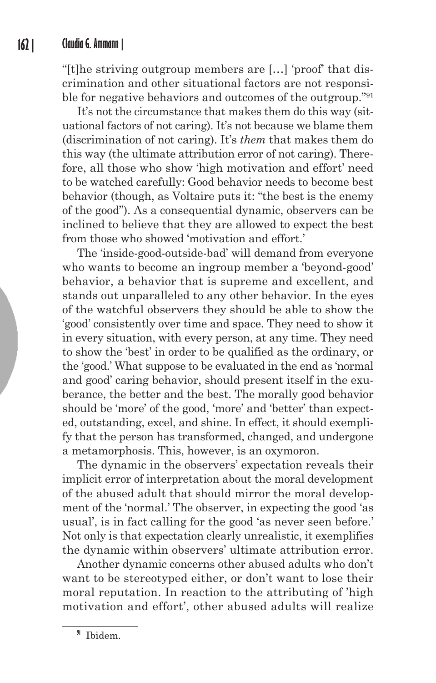"[t]he striving outgroup members are […] 'proof' that discrimination and other situational factors are not responsible for negative behaviors and outcomes of the outgroup."91

It's not the circumstance that makes them do this way (situational factors of not caring). It's not because we blame them (discrimination of not caring). It's *them* that makes them do this way (the ultimate attribution error of not caring). Therefore, all those who show 'high motivation and effort' need to be watched carefully: Good behavior needs to become best behavior (though, as Voltaire puts it: "the best is the enemy of the good"). As a consequential dynamic, observers can be inclined to believe that they are allowed to expect the best from those who showed 'motivation and effort.'

The 'inside-good-outside-bad' will demand from everyone who wants to become an ingroup member a 'beyond-good' behavior, a behavior that is supreme and excellent, and stands out unparalleled to any other behavior. In the eyes of the watchful observers they should be able to show the 'good' consistently over time and space. They need to show it in every situation, with every person, at any time. They need to show the 'best' in order to be qualified as the ordinary, or the 'good.' What suppose to be evaluated in the end as 'normal and good' caring behavior, should present itself in the exuberance, the better and the best. The morally good behavior should be 'more' of the good, 'more' and 'better' than expected, outstanding, excel, and shine. In effect, it should exemplify that the person has transformed, changed, and undergone a metamorphosis. This, however, is an oxymoron.

The dynamic in the observers' expectation reveals their implicit error of interpretation about the moral development of the abused adult that should mirror the moral development of the 'normal.' The observer, in expecting the good 'as usual', is in fact calling for the good 'as never seen before.' Not only is that expectation clearly unrealistic, it exemplifies the dynamic within observers' ultimate attribution error.

Another dynamic concerns other abused adults who don't want to be stereotyped either, or don't want to lose their moral reputation. In reaction to the attributing of 'high motivation and effort', other abused adults will realize

**<sup>91</sup>** Ibidem.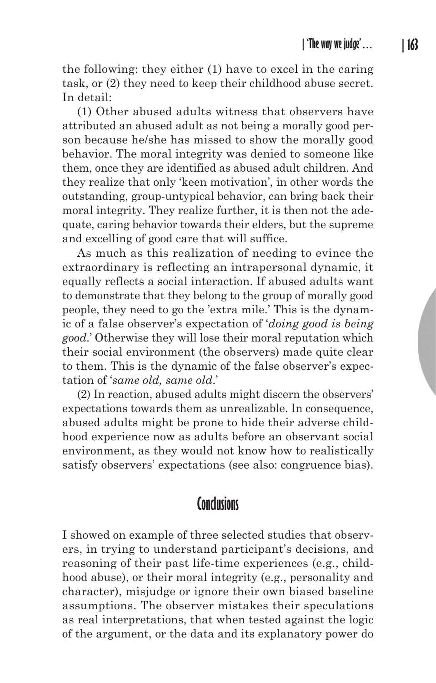the following: they either (1) have to excel in the caring task, or (2) they need to keep their childhood abuse secret. In detail:

(1) Other abused adults witness that observers have attributed an abused adult as not being a morally good person because he/she has missed to show the morally good behavior. The moral integrity was denied to someone like them, once they are identified as abused adult children. And they realize that only 'keen motivation', in other words the outstanding, group-untypical behavior, can bring back their moral integrity. They realize further, it is then not the adequate, caring behavior towards their elders, but the supreme and excelling of good care that will suffice.

As much as this realization of needing to evince the extraordinary is reflecting an intrapersonal dynamic, it equally reflects a social interaction. If abused adults want to demonstrate that they belong to the group of morally good people, they need to go the 'extra mile.' This is the dynamic of a false observer's expectation of '*doing good is being good*.' Otherwise they will lose their moral reputation which their social environment (the observers) made quite clear to them. This is the dynamic of the false observer's expectation of '*same old, same old*.'

(2) In reaction, abused adults might discern the observers' expectations towards them as unrealizable. In consequence, abused adults might be prone to hide their adverse childhood experience now as adults before an observant social environment, as they would not know how to realistically satisfy observers' expectations (see also: congruence bias).

# **Conclusions**

I showed on example of three selected studies that observers, in trying to understand participant's decisions, and reasoning of their past life-time experiences (e.g., childhood abuse), or their moral integrity (e.g., personality and character), misjudge or ignore their own biased baseline assumptions. The observer mistakes their speculations as real interpretations, that when tested against the logic of the argument, or the data and its explanatory power do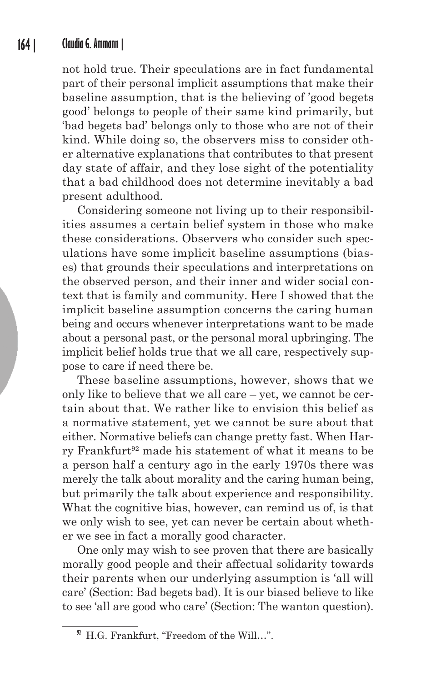not hold true. Their speculations are in fact fundamental part of their personal implicit assumptions that make their baseline assumption, that is the believing of 'good begets good' belongs to people of their same kind primarily, but 'bad begets bad' belongs only to those who are not of their kind. While doing so, the observers miss to consider other alternative explanations that contributes to that present day state of affair, and they lose sight of the potentiality that a bad childhood does not determine inevitably a bad present adulthood.

Considering someone not living up to their responsibilities assumes a certain belief system in those who make these considerations. Observers who consider such speculations have some implicit baseline assumptions (biases) that grounds their speculations and interpretations on the observed person, and their inner and wider social context that is family and community. Here I showed that the implicit baseline assumption concerns the caring human being and occurs whenever interpretations want to be made about a personal past, or the personal moral upbringing. The implicit belief holds true that we all care, respectively suppose to care if need there be.

These baseline assumptions, however, shows that we only like to believe that we all care – yet, we cannot be certain about that. We rather like to envision this belief as a normative statement, yet we cannot be sure about that either. Normative beliefs can change pretty fast. When Harry Frankfurt<sup>92</sup> made his statement of what it means to be a person half a century ago in the early 1970s there was merely the talk about morality and the caring human being, but primarily the talk about experience and responsibility. What the cognitive bias, however, can remind us of, is that we only wish to see, yet can never be certain about whether we see in fact a morally good character.

One only may wish to see proven that there are basically morally good people and their affectual solidarity towards their parents when our underlying assumption is 'all will care' (Section: Bad begets bad). It is our biased believe to like to see 'all are good who care' (Section: The wanton question).

**<sup>92</sup>** H.G. Frankfurt, "Freedom of the Will…".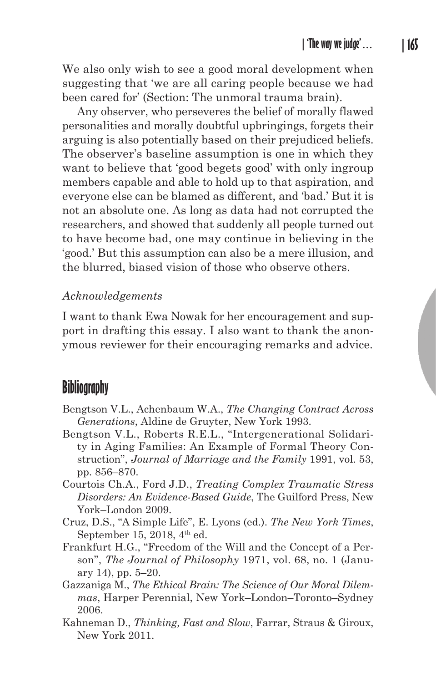We also only wish to see a good moral development when suggesting that 'we are all caring people because we had been cared for' (Section: The unmoral trauma brain).

Any observer, who perseveres the belief of morally flawed personalities and morally doubtful upbringings, forgets their arguing is also potentially based on their prejudiced beliefs. The observer's baseline assumption is one in which they want to believe that 'good begets good' with only ingroup members capable and able to hold up to that aspiration, and everyone else can be blamed as different, and 'bad.' But it is not an absolute one. As long as data had not corrupted the researchers, and showed that suddenly all people turned out to have become bad, one may continue in believing in the 'good.' But this assumption can also be a mere illusion, and the blurred, biased vision of those who observe others.

#### *Acknowledgements*

I want to thank Ewa Nowak for her encouragement and support in drafting this essay. I also want to thank the anonymous reviewer for their encouraging remarks and advice.

## **Bibliography**

- Bengtson V.L., Achenbaum W.A., *The Changing Contract Across Generations*, Aldine de Gruyter, New York 1993.
- Bengtson V.L., Roberts R.E.L., "Intergenerational Solidarity in Aging Families: An Example of Formal Theory Construction", *Journal of Marriage and the Family* 1991, vol. 53, pp. 856–870.
- Courtois Ch.A., Ford J.D., *Treating Complex Traumatic Stress Disorders: An Evidence-Based Guide*, The Guilford Press, New York–London 2009.
- Cruz, D.S., "A Simple Life", E. Lyons (ed.). *The New York Times*, September 15, 2018, 4<sup>th</sup> ed.
- Frankfurt H.G., "Freedom of the Will and the Concept of a Person", *The Journal of Philosophy* 1971, vol. 68, no. 1 (January 14), pp. 5–20.
- Gazzaniga M., *The Ethical Brain: The Science of Our Moral Dilemmas*, Harper Perennial, New York–London–Toronto–Sydney 2006.
- Kahneman D., *Thinking, Fast and Slow*, Farrar, Straus & Giroux, New York 2011.